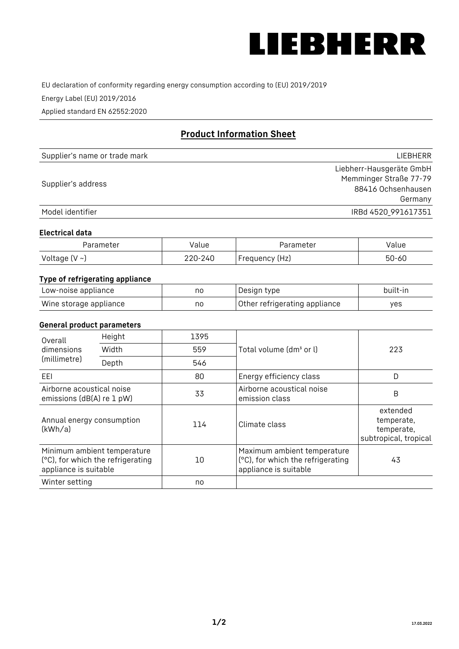

EU declaration of conformity regarding energy consumption according to (EU) 2019/2019

Energy Label (EU) 2019/2016

Applied standard EN 62552:2020

# **Product Information Sheet**

| Supplier's name or trade mark | <b>LIFBHFRR</b>          |
|-------------------------------|--------------------------|
|                               | Liebherr-Hausgeräte GmbH |
| Supplier's address            | Memminger Straße 77-79   |
|                               | 88416 Ochsenhausen       |
|                               | Germany                  |
| Model identifier              | IRBd 4520 991617351      |

## **Electrical data**

| Parameter     | Value         | Parameter      | alue ' |
|---------------|---------------|----------------|--------|
| Voltage (V ~) | 220-:<br>-24C | Frequency (Hz) | 50-60  |

# **Type of refrigerating appliance**

| Low-noise appliance    | no | Design type                   | built-in |
|------------------------|----|-------------------------------|----------|
| Wine storage appliance | nc | Other refrigerating appliance | ves      |

## **General product parameters**

| Height<br>Overall                                      |                                                                  | 1395 |                                                                                           |                                                               |
|--------------------------------------------------------|------------------------------------------------------------------|------|-------------------------------------------------------------------------------------------|---------------------------------------------------------------|
| dimensions<br>(millimetre)                             | Width                                                            | 559  | Total volume (dm <sup>3</sup> or l)                                                       | 223                                                           |
|                                                        | Depth                                                            | 546  |                                                                                           |                                                               |
| EEL                                                    |                                                                  | 80   | Energy efficiency class                                                                   | D                                                             |
| Airborne acoustical noise<br>emissions (dB(A) re 1 pW) |                                                                  | 33   | Airborne acoustical noise<br>emission class                                               | B                                                             |
| Annual energy consumption<br>(kWh/a)                   |                                                                  | 114  | Climate class                                                                             | extended<br>temperate,<br>temperate,<br>subtropical, tropical |
| appliance is suitable                                  | Minimum ambient temperature<br>(°C), for which the refrigerating | 10   | Maximum ambient temperature<br>(°C), for which the refrigerating<br>appliance is suitable | 43                                                            |
| Winter setting                                         |                                                                  | no   |                                                                                           |                                                               |